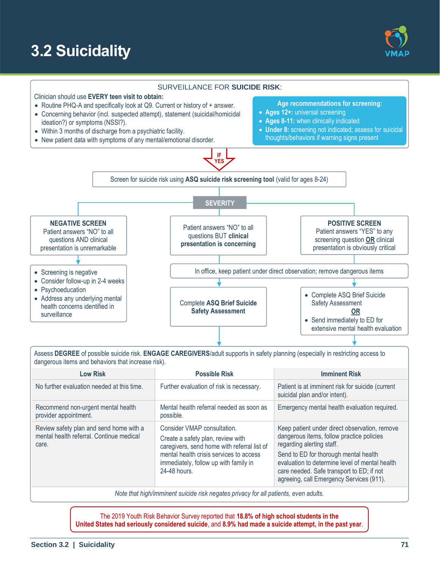# **3.2 Suicidality**





Assess **DEGREE** of possible suicide risk. **ENGAGE CAREGIVERS**/adult supports in safety planning (especially in restricting access to dangerous items and behaviors that increase risk).

| <b>Low Risk</b>                                                                              | <b>Possible Risk</b>                                                                                                                                                                                                | <b>Imminent Risk</b>                                                                                                                                                                                                                                                                                        |
|----------------------------------------------------------------------------------------------|---------------------------------------------------------------------------------------------------------------------------------------------------------------------------------------------------------------------|-------------------------------------------------------------------------------------------------------------------------------------------------------------------------------------------------------------------------------------------------------------------------------------------------------------|
| No further evaluation needed at this time.                                                   | Further evaluation of risk is necessary.                                                                                                                                                                            | Patient is at imminent risk for suicide (current<br>suicidal plan and/or intent).                                                                                                                                                                                                                           |
| Recommend non-urgent mental health<br>provider appointment.                                  | Mental health referral needed as soon as<br>possible.                                                                                                                                                               | Emergency mental health evaluation required.                                                                                                                                                                                                                                                                |
| Review safety plan and send home with a<br>mental health referral. Continue medical<br>care. | Consider VMAP consultation.<br>Create a safety plan, review with<br>caregivers, send home with referral list of<br>mental health crisis services to access<br>immediately, follow up with family in<br>24-48 hours. | Keep patient under direct observation, remove<br>dangerous items, follow practice policies<br>regarding alerting staff.<br>Send to ED for thorough mental health<br>evaluation to determine level of mental health<br>care needed. Safe transport to ED; if not<br>agreeing, call Emergency Services (911). |

*Note that high/imminent suicide risk negates privacy for all patients, even adults.*

The 2019 Youth Risk Behavior Survey reported that **18.8% of high school students in the United States had seriously considered suicide**, and **8.9% had made a suicide attempt, in the past year**.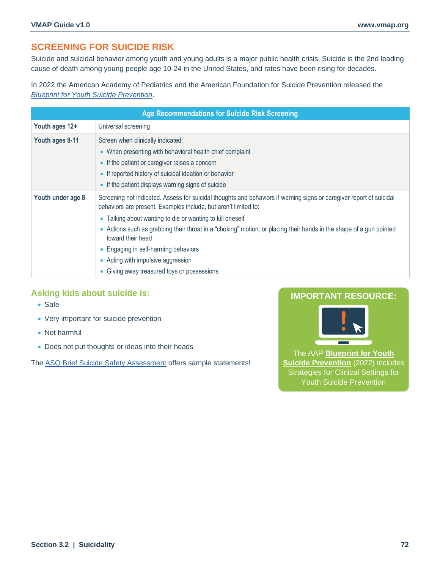# **SCREENING FOR SUICIDE RISK**

Suicide and suicidal behavior among youth and young adults is a major public health crisis. Suicide is the 2nd leading cause of death among young people age 10-24 in the United States, and rates have been rising for decades.

In 2022 the American Academy of Pediatrics and the American Foundation for Suicide Prevention released the *[Blueprint for Youth Suicide Prevention](https://www.aap.org/en/patient-care/blueprint-for-youth-suicide-prevention/)*.

| <b>Age Recommendations for Suicide Risk Screening</b> |                                                                                                                                                                                                                                                                                                                                                                                                                                                                                                                               |  |  |  |
|-------------------------------------------------------|-------------------------------------------------------------------------------------------------------------------------------------------------------------------------------------------------------------------------------------------------------------------------------------------------------------------------------------------------------------------------------------------------------------------------------------------------------------------------------------------------------------------------------|--|--|--|
| Youth ages 12+                                        | Universal screening                                                                                                                                                                                                                                                                                                                                                                                                                                                                                                           |  |  |  |
| Youth ages 8-11                                       | Screen when clinically indicated:<br>• When presenting with behavioral health chief complaint<br>• If the patient or caregiver raises a concern<br>• If reported history of suicidal ideation or behavior<br>• If the patient displays warning signs of suicide                                                                                                                                                                                                                                                               |  |  |  |
| Youth under age 8                                     | Screening not indicated. Assess for suicidal thoughts and behaviors if warning signs or caregiver report of suicidal<br>behaviors are present. Examples include, but aren't limited to:<br>• Talking about wanting to die or wanting to kill oneself<br>• Actions such as grabbing their throat in a "choking" motion, or placing their hands in the shape of a gun pointed<br>toward their head<br>• Engaging in self-harming behaviors<br>• Acting with impulsive aggression<br>• Giving away treasured toys or possessions |  |  |  |

## **Asking kids about suicide is:**

- Safe
- Very important for suicide prevention
- Not harmful
- Does not put thoughts or ideas into their heads

The [ASQ Brief Suicide Safety Assessment](https://www.nimh.nih.gov/research/research-conducted-at-nimh/asq-toolkit-materials/youth-asq-toolkit#outpatient) offers sample statements!

# **IMPORTANT RESOURCE:**



The AAP **[Blueprint for Youth](https://www.aap.org/en/patient-care/blueprint-for-youth-suicide-prevention/)  [Suicide Prevention](https://www.aap.org/en/patient-care/blueprint-for-youth-suicide-prevention/)** (2022) includes Strategies for Clinical Settings for Youth Suicide Prevention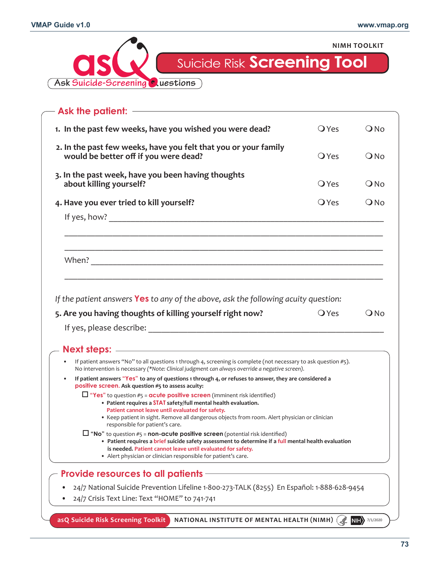

| - Ask the patient: ———————————————                                                                                                                                                                                                                                                                                                        |                    |               |
|-------------------------------------------------------------------------------------------------------------------------------------------------------------------------------------------------------------------------------------------------------------------------------------------------------------------------------------------|--------------------|---------------|
| 1. In the past few weeks, have you wished you were dead?                                                                                                                                                                                                                                                                                  | $\bigcirc$ Yes     | $Q$ No        |
| 2. In the past few weeks, have you felt that you or your family<br>would be better off if you were dead?                                                                                                                                                                                                                                  | $\bigcirc$ Yes     | $\bigcirc$ No |
| 3. In the past week, have you been having thoughts<br>about killing yourself?                                                                                                                                                                                                                                                             | $\overline{O}$ Yes | $\bigcirc$ No |
| 4. Have you ever tried to kill yourself?                                                                                                                                                                                                                                                                                                  | <b>O</b> Yes       | $Q$ No        |
|                                                                                                                                                                                                                                                                                                                                           |                    |               |
|                                                                                                                                                                                                                                                                                                                                           |                    |               |
|                                                                                                                                                                                                                                                                                                                                           |                    |               |
| If the patient answers Yes to any of the above, ask the following acuity question:<br>5. Are you having thoughts of killing yourself right now?                                                                                                                                                                                           | <b>O</b> Yes       |               |
|                                                                                                                                                                                                                                                                                                                                           |                    |               |
| If patient answers "No" to all questions 1 through 4, screening is complete (not necessary to ask question #5).<br>No intervention is necessary (*Note: Clinical judgment can always override a negative screen).                                                                                                                         |                    |               |
| If patient answers "Yes" to any of questions 1 through 4, or refuses to answer, they are considered a<br>positive screen. Ask question #5 to assess acuity:                                                                                                                                                                               |                    |               |
| $\Box$ "Yes" to question #5 = acute positive screen (imminent risk identified)<br>• Patient requires a STAT safety/full mental health evaluation.<br>Patient cannot leave until evaluated for safety.<br>• Keep patient in sight. Remove all dangerous objects from room. Alert physician or clinician<br>responsible for patient's care. |                    |               |
| $\Box$ "No" to question #5 = <b>non-acute positive screen</b> (potential risk identified)<br>• Patient requires a brief suicide safety assessment to determine if a full mental health evaluation<br>is needed. Patient cannot leave until evaluated for safety.<br>• Alert physician or clinician responsible for patient's care.        |                    | $Q$ No        |
| <b>Provide resources to all patients</b>                                                                                                                                                                                                                                                                                                  |                    |               |
| 24/7 National Suicide Prevention Lifeline 1-800-273-TALK (8255) En Español: 1-888-628-9454<br>24/7 Crisis Text Line: Text "HOME" to 741-741                                                                                                                                                                                               |                    |               |

**73**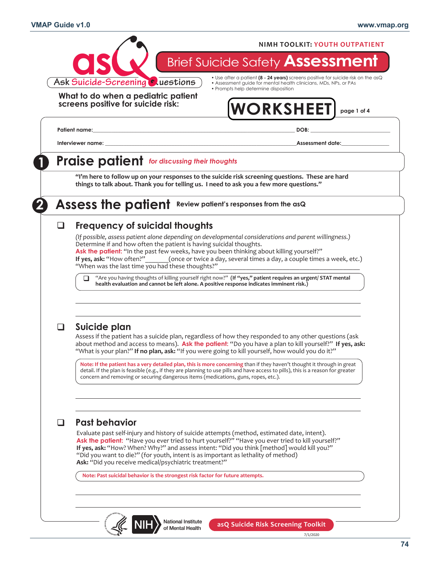

7/1/2020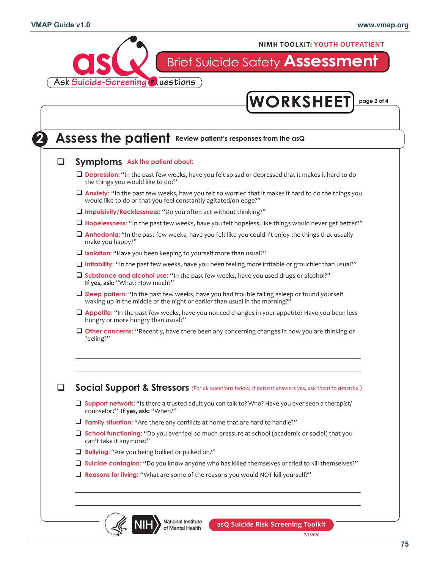

**NIMH TOOLKIT: YOUTH OUTPATIENT**

# Brief Suicide Safety **Assessment**

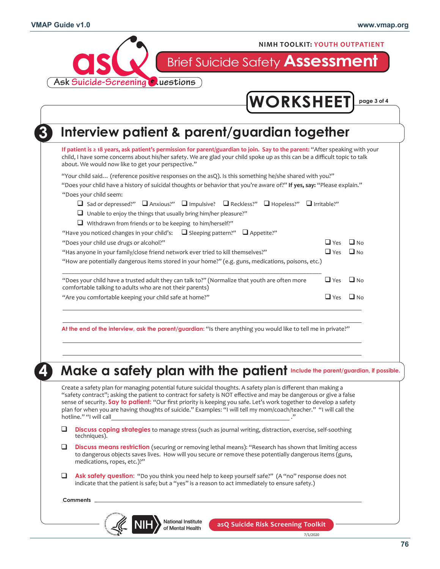

| "Your child said (reference positive responses on the asQ). Is this something he/she shared with you?"<br>"Does your child have a history of suicidal thoughts or behavior that you're aware of?" If yes, say: "Please explain."<br>□ Sad or depressed?" □ Anxious?" □ Impulsive? □ Reckless?" □ Hopeless?" □ Irritable?"<br>$\Box$ Yes<br>$\Box$ Yes<br>"How are potentially dangerous items stored in your home?" (e.g. guns, medications, poisons, etc.)<br>$\Box$ Yes | $\Box$ No<br>$\Box$ No<br>$\Box$ No                                                                                                                                                                                                                                                                                                                                                                                                                                              |
|---------------------------------------------------------------------------------------------------------------------------------------------------------------------------------------------------------------------------------------------------------------------------------------------------------------------------------------------------------------------------------------------------------------------------------------------------------------------------|----------------------------------------------------------------------------------------------------------------------------------------------------------------------------------------------------------------------------------------------------------------------------------------------------------------------------------------------------------------------------------------------------------------------------------------------------------------------------------|
|                                                                                                                                                                                                                                                                                                                                                                                                                                                                           |                                                                                                                                                                                                                                                                                                                                                                                                                                                                                  |
|                                                                                                                                                                                                                                                                                                                                                                                                                                                                           |                                                                                                                                                                                                                                                                                                                                                                                                                                                                                  |
|                                                                                                                                                                                                                                                                                                                                                                                                                                                                           |                                                                                                                                                                                                                                                                                                                                                                                                                                                                                  |
|                                                                                                                                                                                                                                                                                                                                                                                                                                                                           |                                                                                                                                                                                                                                                                                                                                                                                                                                                                                  |
|                                                                                                                                                                                                                                                                                                                                                                                                                                                                           |                                                                                                                                                                                                                                                                                                                                                                                                                                                                                  |
|                                                                                                                                                                                                                                                                                                                                                                                                                                                                           |                                                                                                                                                                                                                                                                                                                                                                                                                                                                                  |
| $\Box$ Yes                                                                                                                                                                                                                                                                                                                                                                                                                                                                | $\Box$ No                                                                                                                                                                                                                                                                                                                                                                                                                                                                        |
| At the end of the interview, ask the parent/guardian: "Is there anything you would like to tell me in private?"                                                                                                                                                                                                                                                                                                                                                           |                                                                                                                                                                                                                                                                                                                                                                                                                                                                                  |
|                                                                                                                                                                                                                                                                                                                                                                                                                                                                           | Make a safety plan with the patient Include the parent/guardian, if possible.                                                                                                                                                                                                                                                                                                                                                                                                    |
|                                                                                                                                                                                                                                                                                                                                                                                                                                                                           | Create a safety plan for managing potential future suicidal thoughts. A safety plan is different than making a<br>"safety contract"; asking the patient to contract for safety is NOT effective and may be dangerous or give a false<br>sense of security. Say to patient: "Our first priority is keeping you safe. Let's work together to develop a safety<br>plan for when you are having thoughts of suicide." Examples: "I will tell my mom/coach/teacher." "I will call the |

- **Discuss coping strategies** to manage stress (such as journal writing, distraction, exercise, self-soothing techniques).  $\Box$
- **Discuss means restriction** (securing or removing lethal means): "Research has shown that limiting access to dangerous objects saves lives. How will you secure or remove these potentially dangerous items (guns, medications, ropes, etc.)?"  $\Box$
- Ask safety question: "Do you think you need help to keep yourself safe?" (A "no" response does not indicate that the patient is safe; but a "yes" is a reason to act immediately to ensure safety.)  $\Box$

**Comments**

National Institute NIH of Mental Health

**asQ Suicide Risk Screening Toolkit**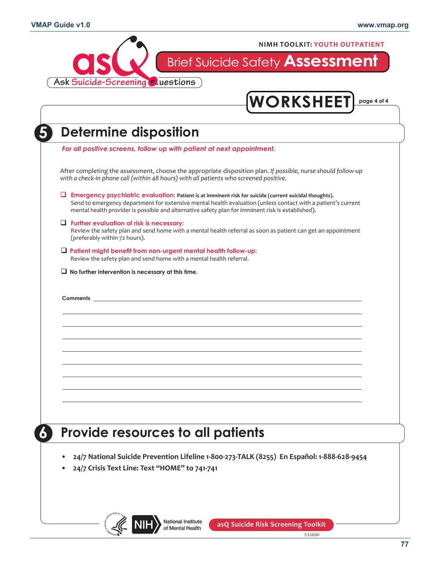

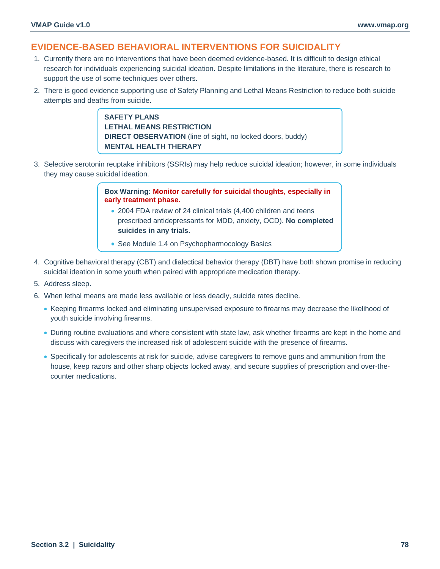# **EVIDENCE-BASED BEHAVIORAL INTERVENTIONS FOR SUICIDALITY**

- 1. Currently there are no interventions that have been deemed evidence-based. It is difficult to design ethical research for individuals experiencing suicidal ideation. Despite limitations in the literature, there is research to support the use of some techniques over others.
- 2. There is good evidence supporting use of Safety Planning and Lethal Means Restriction to reduce both suicide attempts and deaths from suicide.

**SAFETY PLANS LETHAL MEANS RESTRICTION DIRECT OBSERVATION** (line of sight, no locked doors, buddy) **MENTAL HEALTH THERAPY**

3. Selective serotonin reuptake inhibitors (SSRIs) may help reduce suicidal ideation; however, in some individuals they may cause suicidal ideation.

> **Box Warning: Monitor carefully for suicidal thoughts, especially in early treatment phase.**

- 2004 FDA review of 24 clinical trials (4,400 children and teens prescribed antidepressants for MDD, anxiety, OCD). **No completed suicides in any trials.**
- See Module 1.4 on Psychopharmocology Basics
- 4. Cognitive behavioral therapy (CBT) and dialectical behavior therapy (DBT) have both shown promise in reducing suicidal ideation in some youth when paired with appropriate medication therapy.
- 5. Address sleep.
- 6. When lethal means are made less available or less deadly, suicide rates decline.
	- Keeping firearms locked and eliminating unsupervised exposure to firearms may decrease the likelihood of youth suicide involving firearms.
	- During routine evaluations and where consistent with state law, ask whether firearms are kept in the home and discuss with caregivers the increased risk of adolescent suicide with the presence of firearms.
	- Specifically for adolescents at risk for suicide, advise caregivers to remove guns and ammunition from the house, keep razors and other sharp objects locked away, and secure supplies of prescription and over-thecounter medications.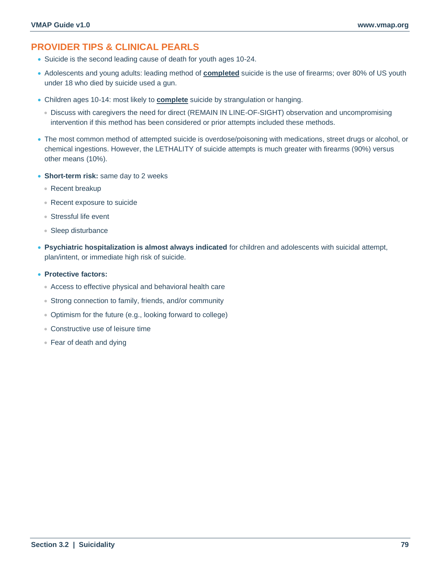# **PROVIDER TIPS & CLINICAL PEARLS**

- Suicide is the second leading cause of death for youth ages 10-24.
- Adolescents and young adults: leading method of **completed** suicide is the use of firearms; over 80% of US youth under 18 who died by suicide used a gun.
- Children ages 10-14: most likely to **complete** suicide by strangulation or hanging.
	- Discuss with caregivers the need for direct (REMAIN IN LINE-OF-SIGHT) observation and uncompromising intervention if this method has been considered or prior attempts included these methods.
- The most common method of attempted suicide is overdose/poisoning with medications, street drugs or alcohol, or chemical ingestions. However, the LETHALITY of suicide attempts is much greater with firearms (90%) versus other means (10%).
- **Short-term risk:** same day to 2 weeks
	- Recent breakup
	- Recent exposure to suicide
	- Stressful life event
	- Sleep disturbance
- **Psychiatric hospitalization is almost always indicated** for children and adolescents with suicidal attempt, plan/intent, or immediate high risk of suicide.
- **Protective factors:**
	- Access to effective physical and behavioral health care
	- Strong connection to family, friends, and/or community
	- Optimism for the future (e.g., looking forward to college)
	- Constructive use of leisure time
	- Fear of death and dying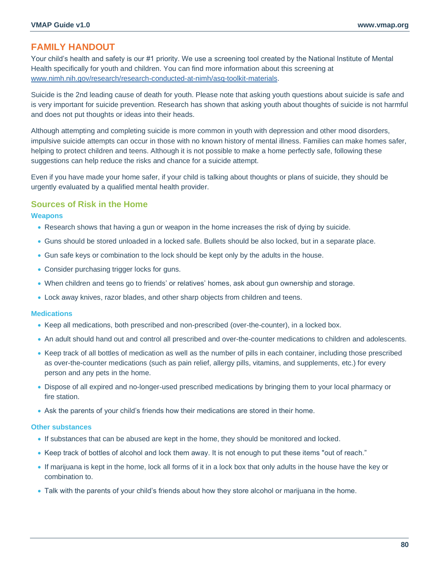## **FAMILY HANDOUT**

Your child's health and safety is our #1 priority. We use a screening tool created by the National Institute of Mental Health specifically for youth and children. You can find more information about this screening at [www.nimh.nih.gov/research/research-conducted-at-nimh/asq-toolkit-materials.](https://www.nimh.nih.gov/research/research-conducted-at-nimh/asq-toolkit-materials)

Suicide is the 2nd leading cause of death for youth. Please note that asking youth questions about suicide is safe and is very important for suicide prevention. Research has shown that asking youth about thoughts of suicide is not harmful and does not put thoughts or ideas into their heads.

Although attempting and completing suicide is more common in youth with depression and other mood disorders, impulsive suicide attempts can occur in those with no known history of mental illness. Families can make homes safer, helping to protect children and teens. Although it is not possible to make a home perfectly safe, following these suggestions can help reduce the risks and chance for a suicide attempt.

Even if you have made your home safer, if your child is talking about thoughts or plans of suicide, they should be urgently evaluated by a qualified mental health provider.

#### **Sources of Risk in the Home**

#### **Weapons**

- Research shows that having a gun or weapon in the home increases the risk of dying by suicide.
- Guns should be stored unloaded in a locked safe. Bullets should be also locked, but in a separate place.
- Gun safe keys or combination to the lock should be kept only by the adults in the house.
- Consider purchasing trigger locks for guns.
- When children and teens go to friends' or relatives' homes, ask about gun ownership and storage.
- Lock away knives, razor blades, and other sharp objects from children and teens.

#### **Medications**

- Keep all medications, both prescribed and non-prescribed (over-the-counter), in a locked box.
- An adult should hand out and control all prescribed and over-the-counter medications to children and adolescents.
- Keep track of all bottles of medication as well as the number of pills in each container, including those prescribed as over-the-counter medications (such as pain relief, allergy pills, vitamins, and supplements, etc.) for every person and any pets in the home.
- Dispose of all expired and no-longer-used prescribed medications by bringing them to your local pharmacy or fire station.
- Ask the parents of your child's friends how their medications are stored in their home.

#### **Other substances**

- If substances that can be abused are kept in the home, they should be monitored and locked.
- Keep track of bottles of alcohol and lock them away. It is not enough to put these items "out of reach."
- If marijuana is kept in the home, lock all forms of it in a lock box that only adults in the house have the key or combination to.
- Talk with the parents of your child's friends about how they store alcohol or marijuana in the home.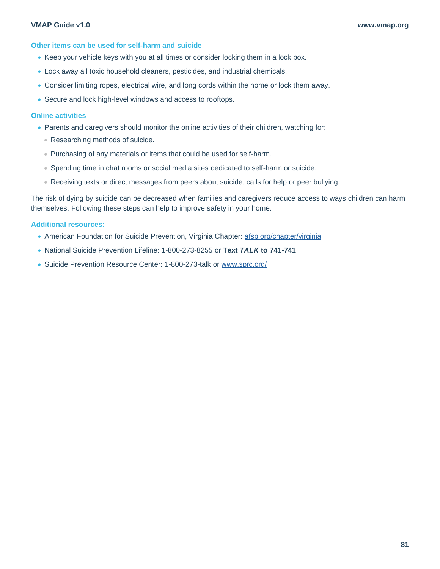**Other items can be used for self-harm and suicide**

- Keep your vehicle keys with you at all times or consider locking them in a lock box.
- Lock away all toxic household cleaners, pesticides, and industrial chemicals.
- Consider limiting ropes, electrical wire, and long cords within the home or lock them away.
- Secure and lock high-level windows and access to rooftops.

#### **Online activities**

- Parents and caregivers should monitor the online activities of their children, watching for:
	- Researching methods of suicide.
	- Purchasing of any materials or items that could be used for self-harm.
	- Spending time in chat rooms or social media sites dedicated to self-harm or suicide.
	- Receiving texts or direct messages from peers about suicide, calls for help or peer bullying.

The risk of dying by suicide can be decreased when families and caregivers reduce access to ways children can harm themselves. Following these steps can help to improve safety in your home.

#### **Additional resources:**

- American Foundation for Suicide Prevention, Virginia Chapter: [afsp.org/chapter/virginia](https://afsp.org/chapter/virginia)
- National Suicide Prevention Lifeline: 1-800-273-8255 or **Text** *TALK* **to 741-741**
- Suicide Prevention Resource Center: 1-800-273-talk or [www.sprc.org/](https://www.sprc.org/)